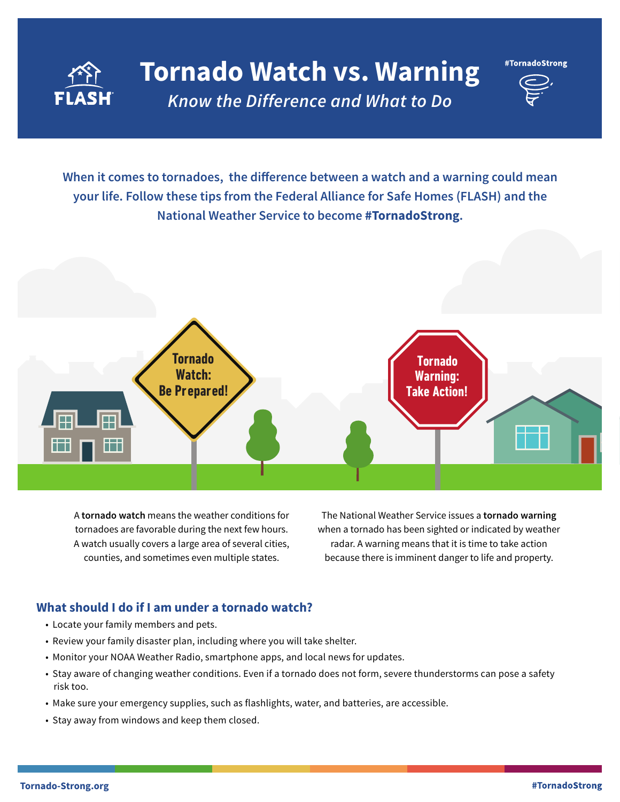

# **Tornado Watch vs. Warning** *Know the Difference and What to Do*

#TornadoStrong

**When it comes to tornadoes, the difference between a watch and a warning could mean your life. Follow these tips from the Federal Alliance for Safe Homes (FLASH) and the National Weather Service to become #TornadoStrong.**



A **tornado watch** means the weather conditions for tornadoes are favorable during the next few hours. A watch usually covers a large area of several cities, counties, and sometimes even multiple states.

The National Weather Service issues a **tornado warning**  when a tornado has been sighted or indicated by weather radar. A warning means that it is time to take action because there is imminent danger to life and property.

## **What should I do if I am under a tornado watch?**

- Locate your family members and pets.
- Review your family disaster plan, including where you will take shelter.
- Monitor your NOAA Weather Radio, smartphone apps, and local news for updates.
- Stay aware of changing weather conditions. Even if a tornado does not form, severe thunderstorms can pose a safety risk too.
- Make sure your emergency supplies, such as flashlights, water, and batteries, are accessible.
- Stay away from windows and keep them closed.